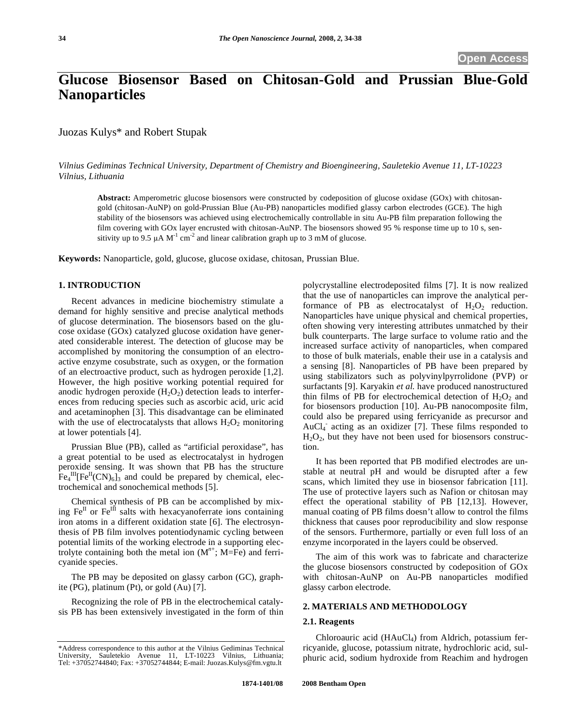# **Glucose Biosensor Based on Chitosan-Gold and Prussian Blue-Gold Nanoparticles**

Juozas Kulys\* and Robert Stupak

*Vilnius Gediminas Technical University, Department of Chemistry and Bioengineering, Sauletekio Avenue 11, LT-10223 Vilnius, Lithuania* 

**Abstract:** Amperometric glucose biosensors were constructed by codeposition of glucose oxidase (GOx) with chitosangold (chitosan-AuNP) on gold-Prussian Blue (Au-PB) nanoparticles modified glassy carbon electrodes (GCE). The high stability of the biosensors was achieved using electrochemically controllable in situ Au-PB film preparation following the film covering with GOx layer encrusted with chitosan-AuNP. The biosensors showed 95 % response time up to 10 s, sensitivity up to 9.5  $\mu$ A M<sup>-1</sup> cm<sup>-2</sup> and linear calibration graph up to 3 mM of glucose.

**Keywords:** Nanoparticle, gold, glucose, glucose oxidase, chitosan, Prussian Blue.

#### **1. INTRODUCTION**

Recent advances in medicine biochemistry stimulate a demand for highly sensitive and precise analytical methods of glucose determination. The biosensors based on the glucose oxidase (GOx) catalyzed glucose oxidation have generated considerable interest. The detection of glucose may be accomplished by monitoring the consumption of an electroactive enzyme cosubstrate, such as oxygen, or the formation of an electroactive product, such as hydrogen peroxide [1,2]. However, the high positive working potential required for anodic hydrogen peroxide  $(H_2O_2)$  detection leads to interferences from reducing species such as ascorbic acid, uric acid and acetaminophen [3]. This disadvantage can be eliminated with the use of electrocatalysts that allows  $H_2O_2$  monitoring at lower potentials [4].

Prussian Blue (PB), called as "artificial peroxidase", has a great potential to be used as electrocatalyst in hydrogen peroxide sensing. It was shown that PB has the structure  $\text{Fe}_4^{\text{III}}[\text{Fe}^{\text{II}}(\text{CN})_6]_3$  and could be prepared by chemical, electrochemical and sonochemical methods [5].

Chemical synthesis of PB can be accomplished by mixing  $Fe^{II}$  or  $Fe^{II}$  salts with hexacyanoferrate ions containing iron atoms in a different oxidation state [6]. The electrosynthesis of PB film involves potentiodynamic cycling between potential limits of the working electrode in a supporting electrolyte containing both the metal ion  $(M^{n+}; M = Fe)$  and ferricyanide species.

The PB may be deposited on glassy carbon (GC), graphite (PG), platinum (Pt), or gold (Au) [7].

Recognizing the role of PB in the electrochemical catalysis PB has been extensively investigated in the form of thin polycrystalline electrodeposited films [7]. It is now realized that the use of nanoparticles can improve the analytical performance of PB as electrocatalyst of  $H_2O_2$  reduction. Nanoparticles have unique physical and chemical properties, often showing very interesting attributes unmatched by their bulk counterparts. The large surface to volume ratio and the increased surface activity of nanoparticles, when compared to those of bulk materials, enable their use in a catalysis and a sensing [8]. Nanoparticles of PB have been prepared by using stabilizators such as polyvinylpyrrolidone (PVP) or surfactants [9]. Karyakin *et al.* have produced nanostructured thin films of PB for electrochemical detection of  $H_2O_2$  and for biosensors production [10]. Au-PB nanocomposite film, could also be prepared using ferricyanide as precursor and AuCl<sub>4</sub> acting as an oxidizer [7]. These films responded to  $H<sub>2</sub>O<sub>2</sub>$ , but they have not been used for biosensors construction.

It has been reported that PB modified electrodes are unstable at neutral pH and would be disrupted after a few scans, which limited they use in biosensor fabrication [11]. The use of protective layers such as Nafion or chitosan may effect the operational stability of PB [12,13]. However, manual coating of PB films doesn't allow to control the films thickness that causes poor reproducibility and slow response of the sensors. Furthermore, partially or even full loss of an enzyme incorporated in the layers could be observed.

The aim of this work was to fabricate and characterize the glucose biosensors constructed by codeposition of GOx with chitosan-AuNP on Au-PB nanoparticles modified glassy carbon electrode.

# **2. MATERIALS AND METHODOLOGY**

## **2.1. Reagents**

Chloroauric acid  $(HAuCl<sub>4</sub>)$  from Aldrich, potassium ferricyanide, glucose, potassium nitrate, hydrochloric acid, sulphuric acid, sodium hydroxide from Reachim and hydrogen

<sup>\*</sup>Address correspondence to this author at the Vilnius Gediminas Technical University, Sauletekio Avenue 11, LT-10223 Vilnius, Lithuania; Tel: +37052744840; Fax: +37052744844; E-mail: Juozas.Kulys@fm.vgtu.lt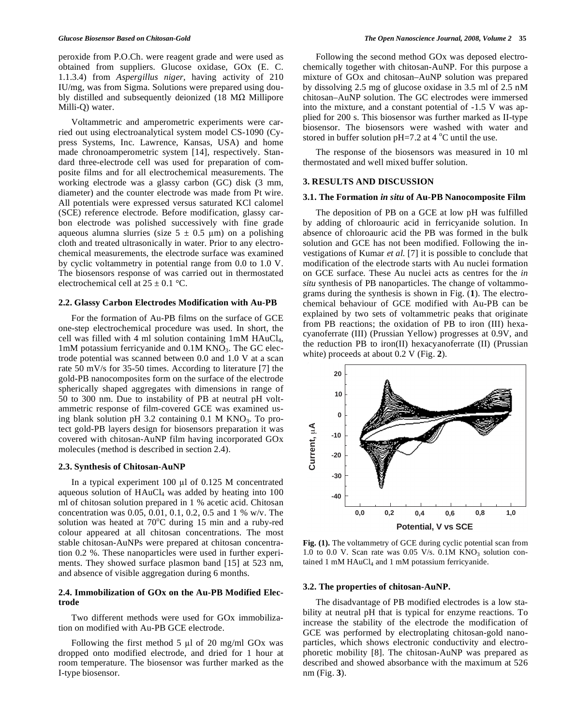peroxide from P.O.Ch. were reagent grade and were used as obtained from suppliers. Glucose oxidase, GOx (E. C. 1.1.3.4) from *Aspergillus niger*, having activity of 210 IU/mg, was from Sigma. Solutions were prepared using doubly distilled and subsequently deionized (18  $M\Omega$  Millipore Milli-Q) water.

Voltammetric and amperometric experiments were carried out using electroanalytical system model CS-1090 (Cypress Systems, Inc. Lawrence, Kansas, USA) and home made chronoamperometric system [14], respectively. Standard three-electrode cell was used for preparation of composite films and for all electrochemical measurements. The working electrode was a glassy carbon (GC) disk (3 mm, diameter) and the counter electrode was made from Pt wire. All potentials were expressed versus saturated KCl calomel (SCE) reference electrode. Before modification, glassy carbon electrode was polished successively with fine grade aqueous alumna slurries (size  $5 \pm 0.5$  µm) on a polishing cloth and treated ultrasonically in water. Prior to any electrochemical measurements, the electrode surface was examined by cyclic voltammetry in potential range from 0.0 to 1.0 V. The biosensors response of was carried out in thermostated electrochemical cell at  $25 \pm 0.1$  °C.

## **2.2. Glassy Carbon Electrodes Modification with Au-PB**

For the formation of Au-PB films on the surface of GCE one-step electrochemical procedure was used. In short, the cell was filled with 4 ml solution containing 1mM HAuCl4, 1mM potassium ferricyanide and 0.1M KNO<sub>3</sub>. The GC electrode potential was scanned between 0.0 and 1.0 V at a scan rate 50 mV/s for 35-50 times. According to literature [7] the gold-PB nanocomposites form on the surface of the electrode spherically shaped aggregates with dimensions in range of 50 to 300 nm. Due to instability of PB at neutral pH voltammetric response of film-covered GCE was examined using blank solution pH  $3.2$  containing 0.1 M KNO<sub>3</sub>. To protect gold-PB layers design for biosensors preparation it was covered with chitosan-AuNP film having incorporated GOx molecules (method is described in section 2.4).

#### **2.3. Synthesis of Chitosan-AuNP**

In a typical experiment  $100 \mu l$  of  $0.125$  M concentrated aqueous solution of  $HAuCl<sub>4</sub>$  was added by heating into 100 ml of chitosan solution prepared in 1 % acetic acid. Chitosan concentration was 0.05, 0.01, 0.1, 0.2, 0.5 and 1 % w/v. The solution was heated at  $70^{\circ}$ C during 15 min and a ruby-red colour appeared at all chitosan concentrations. The most stable chitosan-AuNPs were prepared at chitosan concentration 0.2 %. These nanoparticles were used in further experiments. They showed surface plasmon band [15] at 523 nm, and absence of visible aggregation during 6 months.

## **2.4. Immobilization of GOx on the Au-PB Modified Electrode**

Two different methods were used for GOx immobilization on modified with Au-PB GCE electrode.

Following the first method 5  $\mu$ l of 20 mg/ml GOx was dropped onto modified electrode, and dried for 1 hour at room temperature. The biosensor was further marked as the I-type biosensor.

Following the second method GOx was deposed electrochemically together with chitosan-AuNP. For this purpose a mixture of GOx and chitosan–AuNP solution was prepared by dissolving 2.5 mg of glucose oxidase in 3.5 ml of 2.5 nM chitosan–AuNP solution. The GC electrodes were immersed into the mixture, and a constant potential of -1.5 V was applied for 200 s. This biosensor was further marked as II-type biosensor. The biosensors were washed with water and stored in buffer solution  $pH=7.2$  at 4 °C until the use.

The response of the biosensors was measured in 10 ml thermostated and well mixed buffer solution.

### **3. RESULTS AND DISCUSSION**

# **3.1. The Formation** *in situ* **of Au-PB Nanocomposite Film**

The deposition of PB on a GCE at low pH was fulfilled by adding of chloroauric acid in ferricyanide solution. In absence of chloroauric acid the PB was formed in the bulk solution and GCE has not been modified. Following the investigations of Kumar *et al.* [7] it is possible to conclude that modification of the electrode starts with Au nuclei formation on GCE surface. These Au nuclei acts as centres for the *in situ* synthesis of PB nanoparticles. The change of voltammograms during the synthesis is shown in Fig. (**1**). The electrochemical behaviour of GCE modified with Au-PB can be explained by two sets of voltammetric peaks that originate from PB reactions; the oxidation of PB to iron (III) hexacyanoferrate (III) (Prussian Yellow) progresses at 0.9V, and the reduction PB to iron(II) hexacyanoferrate (II) (Prussian white) proceeds at about 0.2 V (Fig. **2**).



**Fig. (1).** The voltammetry of GCE during cyclic potential scan from 1.0 to 0.0 V. Scan rate was 0.05 V/s. 0.1M  $KNO<sub>3</sub>$  solution contained 1 mM  $HAuCl<sub>4</sub>$  and 1 mM potassium ferricyanide.

## **3.2. The properties of chitosan-AuNP.**

The disadvantage of PB modified electrodes is a low stability at neutral pH that is typical for enzyme reactions. To increase the stability of the electrode the modification of GCE was performed by electroplating chitosan-gold nanoparticles, which shows electronic conductivity and electrophoretic mobility [8]. The chitosan-AuNP was prepared as described and showed absorbance with the maximum at 526 nm (Fig. **3**).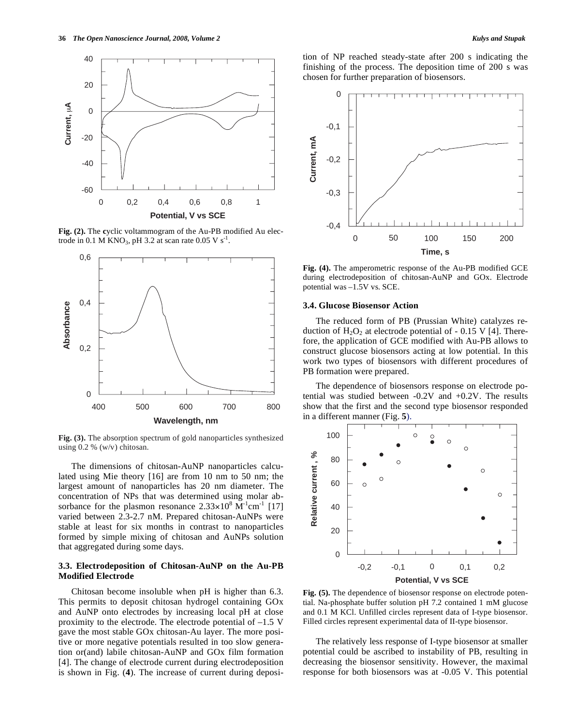

Fig. (2). The cyclic voltammogram of the Au-PB modified Au electrode in 0.1 M KNO<sub>3</sub>, pH 3.2 at scan rate 0.05 V s<sup>-1</sup>.



**Fig. (3).** The absorption spectrum of gold nanoparticles synthesized using 0.2 % (w/v) chitosan.

The dimensions of chitosan-AuNP nanoparticles calculated using Mie theory [16] are from 10 nm to 50 nm; the largest amount of nanoparticles has 20 nm diameter. The concentration of NPs that was determined using molar absorbance for the plasmon resonance  $2.33 \times 10^8$  M<sup>-1</sup>cm<sup>-1</sup> [17] varied between 2.3-2.7 nM. Prepared chitosan-AuNPs were stable at least for six months in contrast to nanoparticles formed by simple mixing of chitosan and AuNPs solution that aggregated during some days.

## **3.3. Electrodeposition of Chitosan-AuNP on the Au-PB Modified Electrode**

Chitosan become insoluble when pH is higher than 6.3. This permits to deposit chitosan hydrogel containing GOx and AuNP onto electrodes by increasing local pH at close proximity to the electrode. The electrode potential of –1.5 V gave the most stable GOx chitosan-Au layer. The more positive or more negative potentials resulted in too slow generation or(and) labile chitosan-AuNP and GOx film formation [4]. The change of electrode current during electrodeposition is shown in Fig. (**4**). The increase of current during deposition of NP reached steady-state after 200 s indicating the finishing of the process. The deposition time of 200 s was chosen for further preparation of biosensors.



**Fig. (4).** The amperometric response of the Au-PB modified GCE during electrodeposition of chitosan-AuNP and GOx. Electrode potential was –1.5V vs. SCE.

#### **3.4. Glucose Biosensor Action**

The reduced form of PB (Prussian White) catalyzes reduction of  $H_2O_2$  at electrode potential of - 0.15 V [4]. Therefore, the application of GCE modified with Au-PB allows to construct glucose biosensors acting at low potential. In this work two types of biosensors with different procedures of PB formation were prepared.

The dependence of biosensors response on electrode potential was studied between -0.2V and +0.2V. The results show that the first and the second type biosensor responded in a different manner (Fig. **5**).



**Fig. (5).** The dependence of biosensor response on electrode potential. Na-phosphate buffer solution pH 7.2 contained 1 mM glucose and 0.1 M KCl. Unfilled circles represent data of I-type biosensor. Filled circles represent experimental data of II-type biosensor.

The relatively less response of I-type biosensor at smaller potential could be ascribed to instability of PB, resulting in decreasing the biosensor sensitivity. However, the maximal response for both biosensors was at -0.05 V. This potential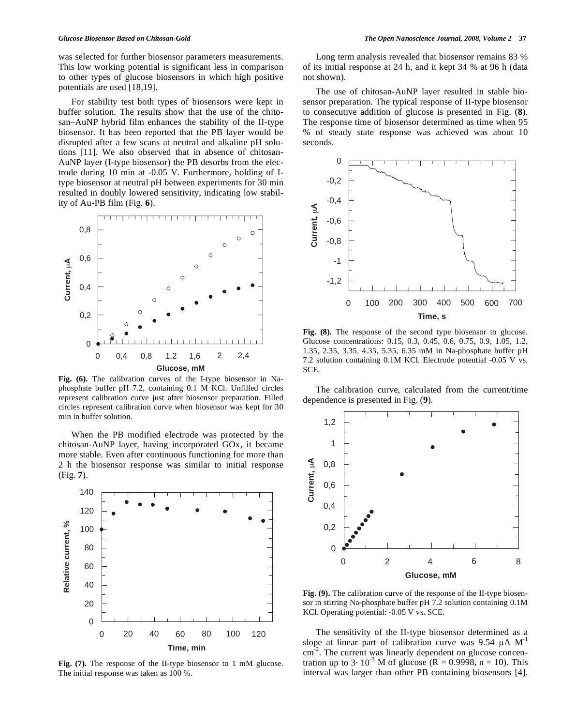was selected for further biosensor parameters measurements. This low working potential is significant less in comparison to other types of glucose biosensors in which high positive potentials are used [18,19].

For stability test both types of biosensors were kept in buffer solution. The results show that the use of the chitosan–AuNP hybrid film enhances the stability of the II-type biosensor. It has been reported that the PB layer would be disrupted after a few scans at neutral and alkaline pH solutions [11]. We also observed that in absence of chitosan-AuNP layer (I-type biosensor) the PB desorbs from the electrode during 10 min at -0.05 V. Furthermore, holding of Itype biosensor at neutral pH between experiments for 30 min resulted in doubly lowered sensitivity, indicating low stability of Au-PB film (Fig. **6**).



**Fig. (6).** The calibration curves of the I-type biosensor in Naphosphate buffer pH 7.2, containing 0.1 M KCl. Unfilled circles represent calibration curve just after biosensor preparation. Filled circles represent calibration curve when biosensor was kept for 30 min in buffer solution.

When the PB modified electrode was protected by the chitosan-AuNP layer, having incorporated GOx, it became more stable. Even after continuous functioning for more than 2 h the biosensor response was similar to initial response (Fig. **7**).



Long term analysis revealed that biosensor remains 83 % of its initial response at 24 h, and it kept 34 % at 96 h (data not shown).

The use of chitosan-AuNP layer resulted in stable biosensor preparation. The typical response of II-type biosensor to consecutive addition of glucose is presented in Fig. (**8**). The response time of biosensor determined as time when 95 % of steady state response was achieved was about 10 seconds.



Fig.  $(8)$ . The response of the second type biosensor to glucose. Glucose concentrations: 0.15, 0.3, 0.45, 0.6, 0.75, 0.9, 1.05, 1.2, 1.35, 2.35, 3.35, 4.35, 5.35, 6.35 mM in Na-phosphate buffer pH 7.2 solution containing 0.1M KCl. Electrode potential -0.05 V vs. SCE.

The calibration curve, calculated from the current/time dependence is presented in Fig. (**9**).



**Fig. (9).** The calibration curve of the response of the II-type biosensor in stirring Na-phosphate buffer pH 7.2 solution containing 0.1M KCl. Operating potential: -0.05 V vs. SCE.

The sensitivity of the II-type biosensor determined as a slope at linear part of calibration curve was  $9.54 \mu A M^{-1}$  $\text{cm}^{-2}$ . The current was linearly dependent on glucose concentration up to 3 $\cdot$  10<sup>-3</sup> M of glucose (R = 0.9998, n = 10). This interval was larger than other PB containing biosensors [4].

**Fig. (7).** The response of the II-type biosensor to 1 mM glucose. The initial response was taken as 100 %.